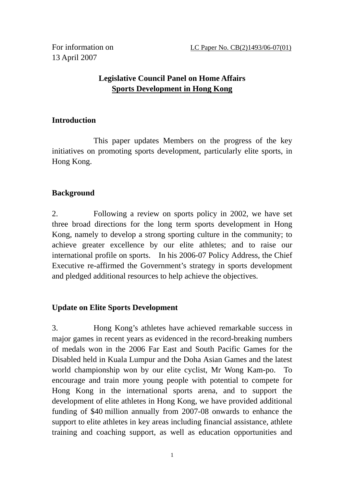13 April 2007

# **Legislative Council Panel on Home Affairs Sports Development in Hong Kong**

## **Introduction**

 This paper updates Members on the progress of the key initiatives on promoting sports development, particularly elite sports, in Hong Kong.

## **Background**

2. Following a review on sports policy in 2002, we have set three broad directions for the long term sports development in Hong Kong, namely to develop a strong sporting culture in the community; to achieve greater excellence by our elite athletes; and to raise our international profile on sports. In his 2006-07 Policy Address, the Chief Executive re-affirmed the Government's strategy in sports development and pledged additional resources to help achieve the objectives.

## **Update on Elite Sports Development**

3. Hong Kong's athletes have achieved remarkable success in major games in recent years as evidenced in the record-breaking numbers of medals won in the 2006 Far East and South Pacific Games for the Disabled held in Kuala Lumpur and the Doha Asian Games and the latest world championship won by our elite cyclist, Mr Wong Kam-po. To encourage and train more young people with potential to compete for Hong Kong in the international sports arena, and to support the development of elite athletes in Hong Kong, we have provided additional funding of \$40 million annually from 2007-08 onwards to enhance the support to elite athletes in key areas including financial assistance, athlete training and coaching support, as well as education opportunities and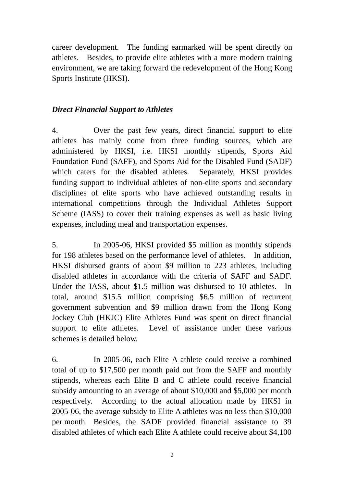career development. The funding earmarked will be spent directly on athletes. Besides, to provide elite athletes with a more modern training environment, we are taking forward the redevelopment of the Hong Kong Sports Institute (HKSI).

#### *Direct Financial Support to Athletes*

4. Over the past few years, direct financial support to elite athletes has mainly come from three funding sources, which are administered by HKSI, i.e. HKSI monthly stipends, Sports Aid Foundation Fund (SAFF), and Sports Aid for the Disabled Fund (SADF) which caters for the disabled athletes. Separately, HKSI provides funding support to individual athletes of non-elite sports and secondary disciplines of elite sports who have achieved outstanding results in international competitions through the Individual Athletes Support Scheme (IASS) to cover their training expenses as well as basic living expenses, including meal and transportation expenses.

5. In 2005-06, HKSI provided \$5 million as monthly stipends for 198 athletes based on the performance level of athletes. In addition, HKSI disbursed grants of about \$9 million to 223 athletes, including disabled athletes in accordance with the criteria of SAFF and SADF. Under the IASS, about \$1.5 million was disbursed to 10 athletes. In total, around \$15.5 million comprising \$6.5 million of recurrent government subvention and \$9 million drawn from the Hong Kong Jockey Club (HKJC) Elite Athletes Fund was spent on direct financial support to elite athletes. Level of assistance under these various schemes is detailed below.

6. In 2005-06, each Elite A athlete could receive a combined total of up to \$17,500 per month paid out from the SAFF and monthly stipends, whereas each Elite B and C athlete could receive financial subsidy amounting to an average of about \$10,000 and \$5,000 per month respectively. According to the actual allocation made by HKSI in 2005-06, the average subsidy to Elite A athletes was no less than \$10,000 per month. Besides, the SADF provided financial assistance to 39 disabled athletes of which each Elite A athlete could receive about \$4,100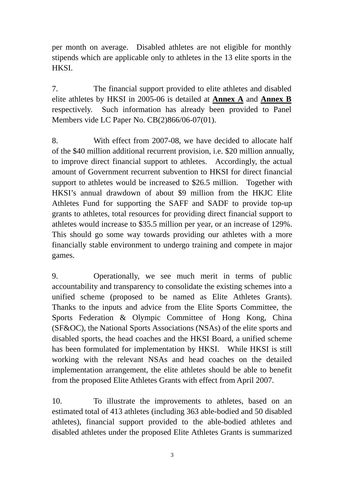per month on average. Disabled athletes are not eligible for monthly stipends which are applicable only to athletes in the 13 elite sports in the HKSI.

7. The financial support provided to elite athletes and disabled elite athletes by HKSI in 2005-06 is detailed at **Annex A** and **Annex B** respectively. Such information has already been provided to Panel Members vide LC Paper No. CB(2)866/06-07(01).

8. With effect from 2007-08, we have decided to allocate half of the \$40 million additional recurrent provision, i.e. \$20 million annually, to improve direct financial support to athletes. Accordingly, the actual amount of Government recurrent subvention to HKSI for direct financial support to athletes would be increased to \$26.5 million. Together with HKSI's annual drawdown of about \$9 million from the HKJC Elite Athletes Fund for supporting the SAFF and SADF to provide top-up grants to athletes, total resources for providing direct financial support to athletes would increase to \$35.5 million per year, or an increase of 129%. This should go some way towards providing our athletes with a more financially stable environment to undergo training and compete in major games.

9. Operationally, we see much merit in terms of public accountability and transparency to consolidate the existing schemes into a unified scheme (proposed to be named as Elite Athletes Grants). Thanks to the inputs and advice from the Elite Sports Committee, the Sports Federation & Olympic Committee of Hong Kong, China (SF&OC), the National Sports Associations (NSAs) of the elite sports and disabled sports, the head coaches and the HKSI Board, a unified scheme has been formulated for implementation by HKSI. While HKSI is still working with the relevant NSAs and head coaches on the detailed implementation arrangement, the elite athletes should be able to benefit from the proposed Elite Athletes Grants with effect from April 2007.

10. To illustrate the improvements to athletes, based on an estimated total of 413 athletes (including 363 able-bodied and 50 disabled athletes), financial support provided to the able-bodied athletes and disabled athletes under the proposed Elite Athletes Grants is summarized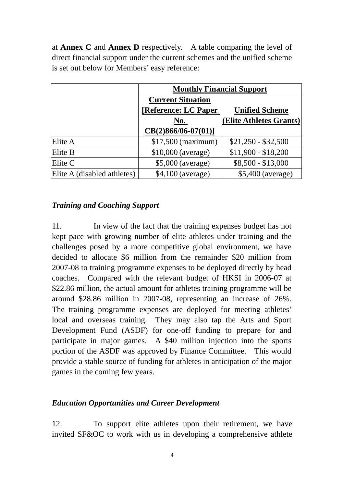at **Annex C** and **Annex D** respectively. A table comparing the level of direct financial support under the current schemes and the unified scheme is set out below for Members' easy reference:

|                             | <b>Monthly Financial Support</b> |                         |  |  |  |
|-----------------------------|----------------------------------|-------------------------|--|--|--|
|                             | <b>Current Situation</b>         |                         |  |  |  |
|                             | [Reference: LC Paper             | <b>Unified Scheme</b>   |  |  |  |
|                             | <u>No.</u>                       | (Elite Athletes Grants) |  |  |  |
|                             | $CB(2)866/06-07(01)]$            |                         |  |  |  |
| Elite A                     | $$17,500$ (maximum)              | $$21,250 - $32,500$     |  |  |  |
| Elite B                     | $$10,000$ (average)              | $$11,900 - $18,200$     |  |  |  |
| Elite C                     | \$5,000 (average)                | $$8,500 - $13,000$      |  |  |  |
| Elite A (disabled athletes) | $$4,100$ (average)               | $$5,400$ (average)      |  |  |  |

#### *Training and Coaching Support*

11. In view of the fact that the training expenses budget has not kept pace with growing number of elite athletes under training and the challenges posed by a more competitive global environment, we have decided to allocate \$6 million from the remainder \$20 million from 2007-08 to training programme expenses to be deployed directly by head coaches. Compared with the relevant budget of HKSI in 2006-07 at \$22.86 million, the actual amount for athletes training programme will be around \$28.86 million in 2007-08, representing an increase of 26%. The training programme expenses are deployed for meeting athletes' local and overseas training. They may also tap the Arts and Sport Development Fund (ASDF) for one-off funding to prepare for and participate in major games. A \$40 million injection into the sports portion of the ASDF was approved by Finance Committee. This would provide a stable source of funding for athletes in anticipation of the major games in the coming few years.

#### *Education Opportunities and Career Development*

12. To support elite athletes upon their retirement, we have invited SF&OC to work with us in developing a comprehensive athlete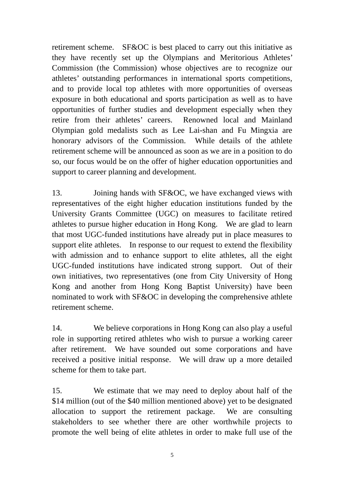retirement scheme. SF&OC is best placed to carry out this initiative as they have recently set up the Olympians and Meritorious Athletes' Commission (the Commission) whose objectives are to recognize our athletes' outstanding performances in international sports competitions, and to provide local top athletes with more opportunities of overseas exposure in both educational and sports participation as well as to have opportunities of further studies and development especially when they retire from their athletes' careers. Renowned local and Mainland Olympian gold medalists such as Lee Lai-shan and Fu Mingxia are honorary advisors of the Commission. While details of the athlete retirement scheme will be announced as soon as we are in a position to do so, our focus would be on the offer of higher education opportunities and support to career planning and development.

13. Joining hands with SF&OC, we have exchanged views with representatives of the eight higher education institutions funded by the University Grants Committee (UGC) on measures to facilitate retired athletes to pursue higher education in Hong Kong. We are glad to learn that most UGC-funded institutions have already put in place measures to support elite athletes. In response to our request to extend the flexibility with admission and to enhance support to elite athletes, all the eight UGC-funded institutions have indicated strong support. Out of their own initiatives, two representatives (one from City University of Hong Kong and another from Hong Kong Baptist University) have been nominated to work with SF&OC in developing the comprehensive athlete retirement scheme.

14. We believe corporations in Hong Kong can also play a useful role in supporting retired athletes who wish to pursue a working career after retirement. We have sounded out some corporations and have received a positive initial response. We will draw up a more detailed scheme for them to take part.

15. We estimate that we may need to deploy about half of the \$14 million (out of the \$40 million mentioned above) yet to be designated allocation to support the retirement package. We are consulting stakeholders to see whether there are other worthwhile projects to promote the well being of elite athletes in order to make full use of the

5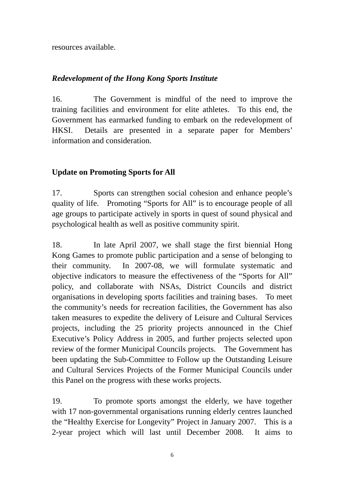resources available.

## *Redevelopment of the Hong Kong Sports Institute*

16. The Government is mindful of the need to improve the training facilities and environment for elite athletes. To this end, the Government has earmarked funding to embark on the redevelopment of HKSI. Details are presented in a separate paper for Members' information and consideration.

### **Update on Promoting Sports for All**

17. Sports can strengthen social cohesion and enhance people's quality of life. Promoting "Sports for All" is to encourage people of all age groups to participate actively in sports in quest of sound physical and psychological health as well as positive community spirit.

18. In late April 2007, we shall stage the first biennial Hong Kong Games to promote public participation and a sense of belonging to their community. In 2007-08, we will formulate systematic and objective indicators to measure the effectiveness of the "Sports for All" policy, and collaborate with NSAs, District Councils and district organisations in developing sports facilities and training bases. To meet the community's needs for recreation facilities, the Government has also taken measures to expedite the delivery of Leisure and Cultural Services projects, including the 25 priority projects announced in the Chief Executive's Policy Address in 2005, and further projects selected upon review of the former Municipal Councils projects. The Government has been updating the Sub-Committee to Follow up the Outstanding Leisure and Cultural Services Projects of the Former Municipal Councils under this Panel on the progress with these works projects.

19. To promote sports amongst the elderly, we have together with 17 non-governmental organisations running elderly centres launched the "Healthy Exercise for Longevity" Project in January 2007. This is a 2-year project which will last until December 2008. It aims to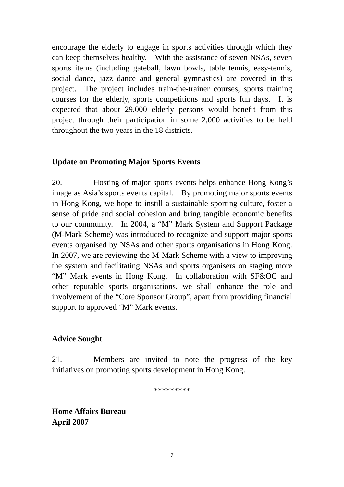encourage the elderly to engage in sports activities through which they can keep themselves healthy. With the assistance of seven NSAs, seven sports items (including gateball, lawn bowls, table tennis, easy-tennis, social dance, jazz dance and general gymnastics) are covered in this project. The project includes train-the-trainer courses, sports training courses for the elderly, sports competitions and sports fun days. It is expected that about 29,000 elderly persons would benefit from this project through their participation in some 2,000 activities to be held throughout the two years in the 18 districts.

#### **Update on Promoting Major Sports Events**

20. Hosting of major sports events helps enhance Hong Kong's image as Asia's sports events capital. By promoting major sports events in Hong Kong, we hope to instill a sustainable sporting culture, foster a sense of pride and social cohesion and bring tangible economic benefits to our community. In 2004, a "M" Mark System and Support Package (M-Mark Scheme) was introduced to recognize and support major sports events organised by NSAs and other sports organisations in Hong Kong. In 2007, we are reviewing the M-Mark Scheme with a view to improving the system and facilitating NSAs and sports organisers on staging more "M" Mark events in Hong Kong. In collaboration with SF&OC and other reputable sports organisations, we shall enhance the role and involvement of the "Core Sponsor Group", apart from providing financial support to approved "M" Mark events.

#### **Advice Sought**

21. Members are invited to note the progress of the key initiatives on promoting sports development in Hong Kong.

\*\*\*\*\*\*\*\*\*

**Home Affairs Bureau April 2007**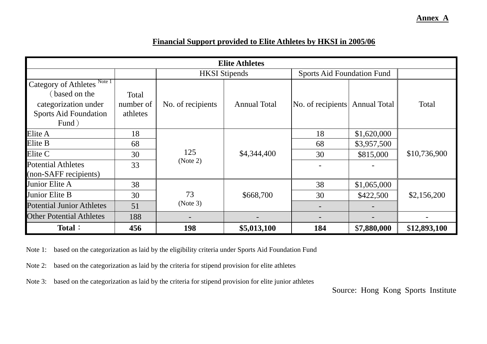**Elite Athletes** HKSI Stipends Sports Aid Foundation Fund Category of Athletes<sup>Note 1</sup> (based on the categorization under Sports Aid Foundation Fund) Total number of athletes No. of recipients | Annual Total | No. of recipients | Annual Total Total Elite A 18 18 18 1 18 18 18 18 18 18 18 1620,000 Elite B 68 68 \$3,957,500 Elite C 30 30 \$815,000 Potential Athletes (non-SAFF recipients) 33 125 (Note 2) \$4,344,400 - - \$10,736,900 Junior Elite A 38 38 38 31,065,000 Junior Elite B 1 30 1 30 33 5668,700 1 30 5422,500 Potential Junior Athletes 31 73 (Note 3) \$668,700 - - \$2,156,200

**456** 198 \$5,013,100 184

#### **Financial Support provided to Elite Athletes by HKSI in 2005/06**

Note 1: based on the categorization as laid by the eligibility criteria under Sports Aid Foundation Fund

Note 2: based on the categorization as laid by the criteria for stipend provision for elite athletes

Other Potential Athletes | 188 | -

**Total**:

Note 3: based on the categorization as laid by the criteria for stipend provision for elite junior athletes

Source: Hong Kong Sports Institute

\$**12,893,100** 

\$**7,880,000** 

**Annex A**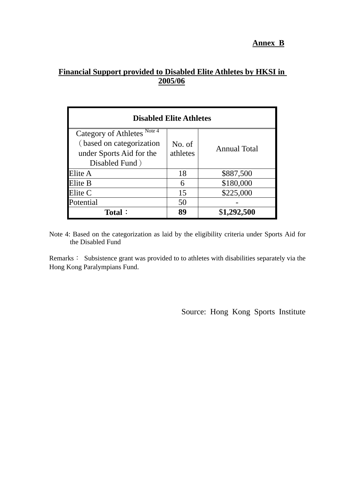# **Financial Support provided to Disabled Elite Athletes by HKSI in 2005/06**

| <b>Disabled Elite Athletes</b>                     |                    |                     |  |  |
|----------------------------------------------------|--------------------|---------------------|--|--|
| Note $\overline{4}$<br><b>Category of Athletes</b> |                    |                     |  |  |
| (based on categorization                           | No. of<br>athletes | <b>Annual Total</b> |  |  |
| under Sports Aid for the                           |                    |                     |  |  |
| Disabled Fund)                                     |                    |                     |  |  |
| Elite A                                            | 18                 | \$887,500           |  |  |
| Elite B                                            | 6                  | \$180,000           |  |  |
| Elite C                                            | 15                 | \$225,000           |  |  |
| Potential                                          | 50                 |                     |  |  |
| <b>Total:</b>                                      | 89                 | \$1,292,500         |  |  |

Note 4: Based on the categorization as laid by the eligibility criteria under Sports Aid for the Disabled Fund

Remarks: Subsistence grant was provided to to athletes with disabilities separately via the Hong Kong Paralympians Fund.

Source: Hong Kong Sports Institute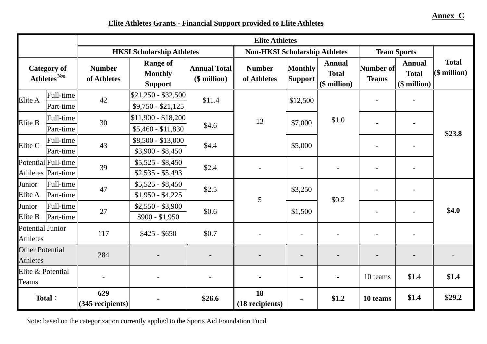**Elite Athletes Grants - Financial Support provided to Elite Athletes**

|                                            |                                                | <b>Elite Athletes</b>            |                                                     |                                     |                                      |                                  |                                                   |                           |                                               |                                |
|--------------------------------------------|------------------------------------------------|----------------------------------|-----------------------------------------------------|-------------------------------------|--------------------------------------|----------------------------------|---------------------------------------------------|---------------------------|-----------------------------------------------|--------------------------------|
|                                            |                                                | <b>HKSI Scholarship Athletes</b> |                                                     |                                     | <b>Non-HKSI Scholarship Athletes</b> |                                  | <b>Team Sports</b>                                |                           |                                               |                                |
|                                            | <b>Category of</b><br>Athletes <sup>Note</sup> | <b>Number</b><br>of Athletes     | <b>Range of</b><br><b>Monthly</b><br><b>Support</b> | <b>Annual Total</b><br>(\$ million) | <b>Number</b><br>of Athletes         | <b>Monthly</b><br><b>Support</b> | <b>Annual</b><br><b>Total</b><br>$($$ million $)$ | Number of<br><b>Teams</b> | <b>Annual</b><br><b>Total</b><br>(\$ million) | <b>Total</b><br>$(\$$ million) |
| Elite A                                    | Full-time<br>Part-time                         | 42                               | $$21,250 - $32,500$<br>$$9,750 - $21,125$           | \$11.4                              |                                      | \$12,500                         |                                                   |                           | $\overline{\phantom{a}}$                      |                                |
| Elite B                                    | Full-time<br>Part-time                         | 30                               | $$11,900 - $18,200$<br>$$5,460 - $11,830$           | \$4.6                               | 13                                   | \$7,000                          | \$1.0                                             |                           |                                               |                                |
| Elite C                                    | Full-time<br>Part-time                         | 43                               | $$8,500 - $13,000$<br>$$3,900 - $8,450$             | \$4.4                               |                                      | \$5,000                          |                                                   |                           |                                               | \$23.8                         |
|                                            | Potential Full-time<br>Athletes Part-time      | 39                               | $$5,525 - $8,450$<br>$$2,535 - $5,493$              | \$2.4                               |                                      | $\blacksquare$                   | $\overline{\phantom{a}}$                          |                           |                                               |                                |
| Junior<br>Elite A                          | Full-time<br>Part-time                         | 47                               | $$5,525 - $8,450$<br>$$1,950 - $4,225$              | \$2.5                               | 5                                    | \$3,250                          | \$0.2                                             |                           | $\blacksquare$                                |                                |
| Junior<br>Elite B                          | Full-time<br>Part-time                         | 27                               | $$2,550 - $3,900$<br>$$900 - $1,950$                | \$0.6                               |                                      | \$1,500                          |                                                   |                           | $\blacksquare$                                | \$4.0                          |
| <b>Potential Junior</b><br><b>Athletes</b> |                                                | 117                              | $$425 - $650$                                       | \$0.7                               |                                      | $\blacksquare$                   | $\blacksquare$                                    |                           | $\blacksquare$                                |                                |
| <b>Other Potential</b><br><b>Athletes</b>  |                                                | 284                              |                                                     |                                     |                                      |                                  |                                                   |                           |                                               |                                |
| Elite & Potential<br><b>Teams</b>          |                                                |                                  |                                                     |                                     |                                      | $\qquad \qquad \blacksquare$     | $\equiv$                                          | 10 teams                  | \$1.4                                         | \$1.4                          |
|                                            | Total:                                         | 629<br>(345 recipients)          |                                                     | \$26.6                              | 18<br>(18 recipients)                |                                  | \$1.2                                             | 10 teams                  | \$1.4                                         | \$29.2                         |

Note: based on the categorization currently applied to the Sports Aid Foundation Fund